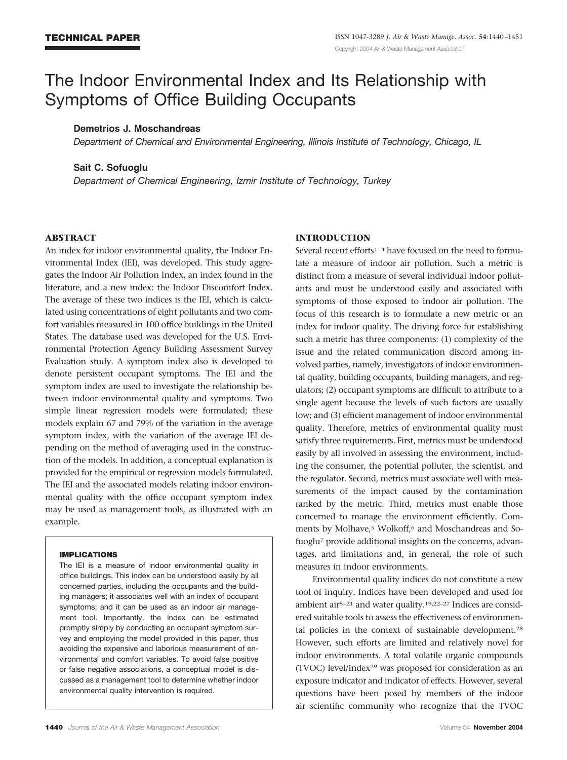# The Indoor Environmental Index and Its Relationship with Symptoms of Office Building Occupants

# **Demetrios J. Moschandreas**

*Department of Chemical and Environmental Engineering, Illinois Institute of Technology, Chicago, IL*

## **Sait C. Sofuoglu**

*Department of Chemical Engineering, Izmir Institute of Technology, Turkey*

## **ABSTRACT**

An index for indoor environmental quality, the Indoor Environmental Index (IEI), was developed. This study aggregates the Indoor Air Pollution Index, an index found in the literature, and a new index: the Indoor Discomfort Index. The average of these two indices is the IEI, which is calculated using concentrations of eight pollutants and two comfort variables measured in 100 office buildings in the United States. The database used was developed for the U.S. Environmental Protection Agency Building Assessment Survey Evaluation study. A symptom index also is developed to denote persistent occupant symptoms. The IEI and the symptom index are used to investigate the relationship between indoor environmental quality and symptoms. Two simple linear regression models were formulated; these models explain 67 and 79% of the variation in the average symptom index, with the variation of the average IEI depending on the method of averaging used in the construction of the models. In addition, a conceptual explanation is provided for the empirical or regression models formulated. The IEI and the associated models relating indoor environmental quality with the office occupant symptom index may be used as management tools, as illustrated with an example.

#### **IMPLICATIONS**

The IEI is a measure of indoor environmental quality in office buildings. This index can be understood easily by all concerned parties, including the occupants and the building managers; it associates well with an index of occupant symptoms; and it can be used as an indoor air management tool. Importantly, the index can be estimated promptly simply by conducting an occupant symptom survey and employing the model provided in this paper, thus avoiding the expensive and laborious measurement of environmental and comfort variables. To avoid false positive or false negative associations, a conceptual model is discussed as a management tool to determine whether indoor environmental quality intervention is required.

#### **INTRODUCTION**

Several recent efforts<sup>1-4</sup> have focused on the need to formulate a measure of indoor air pollution. Such a metric is distinct from a measure of several individual indoor pollutants and must be understood easily and associated with symptoms of those exposed to indoor air pollution. The focus of this research is to formulate a new metric or an index for indoor quality. The driving force for establishing such a metric has three components: (1) complexity of the issue and the related communication discord among involved parties, namely, investigators of indoor environmental quality, building occupants, building managers, and regulators; (2) occupant symptoms are difficult to attribute to a single agent because the levels of such factors are usually low; and (3) efficient management of indoor environmental quality. Therefore, metrics of environmental quality must satisfy three requirements. First, metrics must be understood easily by all involved in assessing the environment, including the consumer, the potential polluter, the scientist, and the regulator. Second, metrics must associate well with measurements of the impact caused by the contamination ranked by the metric. Third, metrics must enable those concerned to manage the environment efficiently. Comments by Molhave,<sup>5</sup> Wolkoff,<sup>6</sup> and Moschandreas and Sofuoglu7 provide additional insights on the concerns, advantages, and limitations and, in general, the role of such measures in indoor environments.

Environmental quality indices do not constitute a new tool of inquiry. Indices have been developed and used for ambient air<sup>8-21</sup> and water quality.<sup>19,22-27</sup> Indices are considered suitable tools to assess the effectiveness of environmental policies in the context of sustainable development.28 However, such efforts are limited and relatively novel for indoor environments. A total volatile organic compounds (TVOC) level/index29 was proposed for consideration as an exposure indicator and indicator of effects. However, several questions have been posed by members of the indoor air scientific community who recognize that the TVOC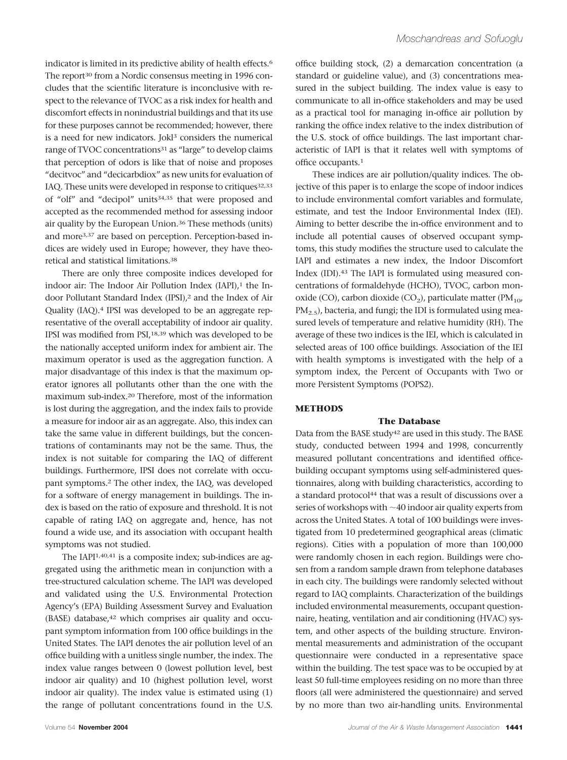indicator is limited in its predictive ability of health effects.6 The report<sup>30</sup> from a Nordic consensus meeting in 1996 concludes that the scientific literature is inconclusive with respect to the relevance of TVOC as a risk index for health and discomfort effects in nonindustrial buildings and that its use for these purposes cannot be recommended; however, there is a need for new indicators. Jokl<sup>3</sup> considers the numerical range of TVOC concentrations<sup>31</sup> as "large" to develop claims that perception of odors is like that of noise and proposes "decitvoc" and "decicarbdiox" as new units for evaluation of IAQ. These units were developed in response to critiques<sup>32,33</sup> of "olf" and "decipol" units34,35 that were proposed and accepted as the recommended method for assessing indoor air quality by the European Union.36 These methods (units) and more3,37 are based on perception. Perception-based indices are widely used in Europe; however, they have theoretical and statistical limitations.38

There are only three composite indices developed for indoor air: The Indoor Air Pollution Index (IAPI),<sup>1</sup> the Indoor Pollutant Standard Index (IPSI),<sup>2</sup> and the Index of Air Quality (IAQ).4 IPSI was developed to be an aggregate representative of the overall acceptability of indoor air quality. IPSI was modified from PSI,<sup>18,39</sup> which was developed to be the nationally accepted uniform index for ambient air. The maximum operator is used as the aggregation function. A major disadvantage of this index is that the maximum operator ignores all pollutants other than the one with the maximum sub-index.20 Therefore, most of the information is lost during the aggregation, and the index fails to provide a measure for indoor air as an aggregate. Also, this index can take the same value in different buildings, but the concentrations of contaminants may not be the same. Thus, the index is not suitable for comparing the IAQ of different buildings. Furthermore, IPSI does not correlate with occupant symptoms.2 The other index, the IAQ, was developed for a software of energy management in buildings. The index is based on the ratio of exposure and threshold. It is not capable of rating IAQ on aggregate and, hence, has not found a wide use, and its association with occupant health symptoms was not studied.

The IAPI<sup>1,40,41</sup> is a composite index; sub-indices are aggregated using the arithmetic mean in conjunction with a tree-structured calculation scheme. The IAPI was developed and validated using the U.S. Environmental Protection Agency's (EPA) Building Assessment Survey and Evaluation (BASE) database,<sup>42</sup> which comprises air quality and occupant symptom information from 100 office buildings in the United States. The IAPI denotes the air pollution level of an office building with a unitless single number, the index. The index value ranges between 0 (lowest pollution level, best indoor air quality) and 10 (highest pollution level, worst indoor air quality). The index value is estimated using (1) the range of pollutant concentrations found in the U.S.

office building stock, (2) a demarcation concentration (a standard or guideline value), and (3) concentrations measured in the subject building. The index value is easy to communicate to all in-office stakeholders and may be used as a practical tool for managing in-office air pollution by ranking the office index relative to the index distribution of the U.S. stock of office buildings. The last important characteristic of IAPI is that it relates well with symptoms of office occupants.1

These indices are air pollution/quality indices. The objective of this paper is to enlarge the scope of indoor indices to include environmental comfort variables and formulate, estimate, and test the Indoor Environmental Index (IEI). Aiming to better describe the in-office environment and to include all potential causes of observed occupant symptoms, this study modifies the structure used to calculate the IAPI and estimates a new index, the Indoor Discomfort Index (IDI).43 The IAPI is formulated using measured concentrations of formaldehyde (HCHO), TVOC, carbon monoxide (CO), carbon dioxide (CO<sub>2</sub>), particulate matter (PM<sub>10</sub>,  $PM_{2.5}$ , bacteria, and fungi; the IDI is formulated using measured levels of temperature and relative humidity (RH). The average of these two indices is the IEI, which is calculated in selected areas of 100 office buildings. Association of the IEI with health symptoms is investigated with the help of a symptom index, the Percent of Occupants with Two or more Persistent Symptoms (POPS2).

## **METHODS**

#### **The Database**

Data from the BASE study<sup>42</sup> are used in this study. The BASE study, conducted between 1994 and 1998, concurrently measured pollutant concentrations and identified officebuilding occupant symptoms using self-administered questionnaires, along with building characteristics, according to a standard protocol<sup>44</sup> that was a result of discussions over a series of workshops with  $\sim$  40 indoor air quality experts from across the United States. A total of 100 buildings were investigated from 10 predetermined geographical areas (climatic regions). Cities with a population of more than 100,000 were randomly chosen in each region. Buildings were chosen from a random sample drawn from telephone databases in each city. The buildings were randomly selected without regard to IAQ complaints. Characterization of the buildings included environmental measurements, occupant questionnaire, heating, ventilation and air conditioning (HVAC) system, and other aspects of the building structure. Environmental measurements and administration of the occupant questionnaire were conducted in a representative space within the building. The test space was to be occupied by at least 50 full-time employees residing on no more than three floors (all were administered the questionnaire) and served by no more than two air-handling units. Environmental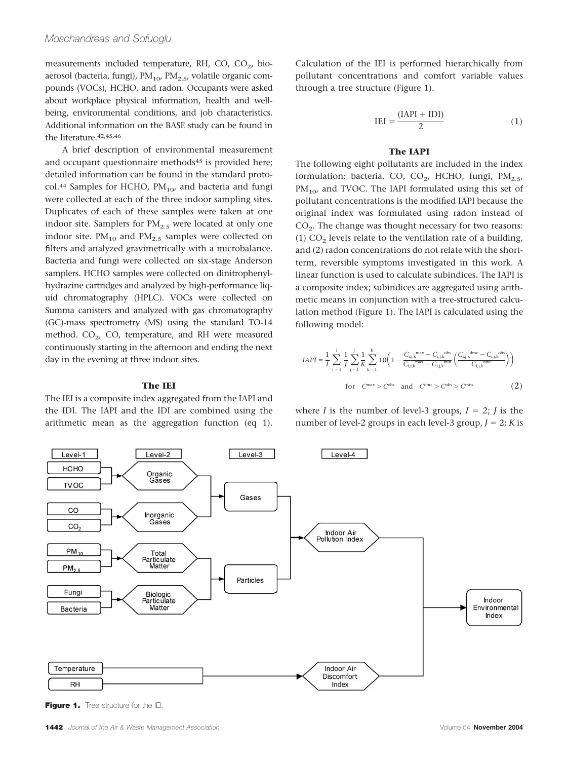measurements included temperature, RH, CO,  $CO<sub>2</sub>$ , bioaerosol (bacteria, fungi),  $PM_{10}$ ,  $PM_{2.5}$ , volatile organic compounds (VOCs), HCHO, and radon. Occupants were asked about workplace physical information, health and wellbeing, environmental conditions, and job characteristics. Additional information on the BASE study can be found in the literature.42,45,46

A brief description of environmental measurement and occupant questionnaire methods<sup>45</sup> is provided here; detailed information can be found in the standard protocol.<sup>44</sup> Samples for HCHO,  $PM_{10}$  and bacteria and fungi were collected at each of the three indoor sampling sites. Duplicates of each of these samples were taken at one indoor site. Samplers for  $PM_{2.5}$  were located at only one indoor site.  $PM_{10}$  and  $PM_{2.5}$  samples were collected on filters and analyzed gravimetrically with a microbalance. Bacteria and fungi were collected on six-stage Anderson samplers. HCHO samples were collected on dinitrophenylhydrazine cartridges and analyzed by high-performance liquid chromatography (HPLC). VOCs were collected on Summa canisters and analyzed with gas chromatography (GC)-mass spectrometry (MS) using the standard TO-14 method.  $CO<sub>2</sub>$ ,  $CO<sub>2</sub>$ , temperature, and RH were measured continuously starting in the afternoon and ending the next day in the evening at three indoor sites.

#### **The IEI**

The IEI is a composite index aggregated from the IAPI and the IDI. The IAPI and the IDI are combined using the arithmetic mean as the aggregation function (eq 1). Calculation of the IEI is performed hierarchically from pollutant concentrations and comfort variable values through a tree structure (Figure 1).

$$
IEI = \frac{(IAPI + IDI)}{2} \tag{1}
$$

## **The IAPI**

The following eight pollutants are included in the index formulation: bacteria, CO, CO<sub>2</sub>, HCHO, fungi,  $PM_{2.5}$ PM<sub>10</sub>, and TVOC. The IAPI formulated using this set of pollutant concentrations is the modified IAPI because the original index was formulated using radon instead of  $CO<sub>2</sub>$ . The change was thought necessary for two reasons: (1)  $CO<sub>2</sub>$  levels relate to the ventilation rate of a building, and (2) radon concentrations do not relate with the shortterm, reversible symptoms investigated in this work. A linear function is used to calculate subindices. The IAPI is a composite index; subindices are aggregated using arithmetic means in conjunction with a tree-structured calculation method (Figure 1). The IAPI is calculated using the following model:

$$
IAPI = \frac{1}{I} \sum_{i=1}^{I} \frac{1}{J} \sum_{j=1}^{J} \frac{1}{K} \sum_{k=1}^{K} 10 \left( 1 - \frac{C_{i,j,k}^{max} - C_{i,j,k}^{obs}}{C_{i,j,k}^{max} - C_{i,j,k}^{min}} \left( \frac{C_{i,j,k}^{incc} - C_{i,j,k}^{obs}}{C_{i,j,k}^{incc}} \right) \right)
$$
  
for  $C^{max} > C^{obs}$  and  $C^{dmc} > C^{obs} > C^{min}$  (2)

where *I* is the number of level-3 groups,  $I = 2$ ; *J* is the number of level-2 groups in each level-3 group*, J* = 2; *K* is



**Figure 1.** Tree structure for the IEI.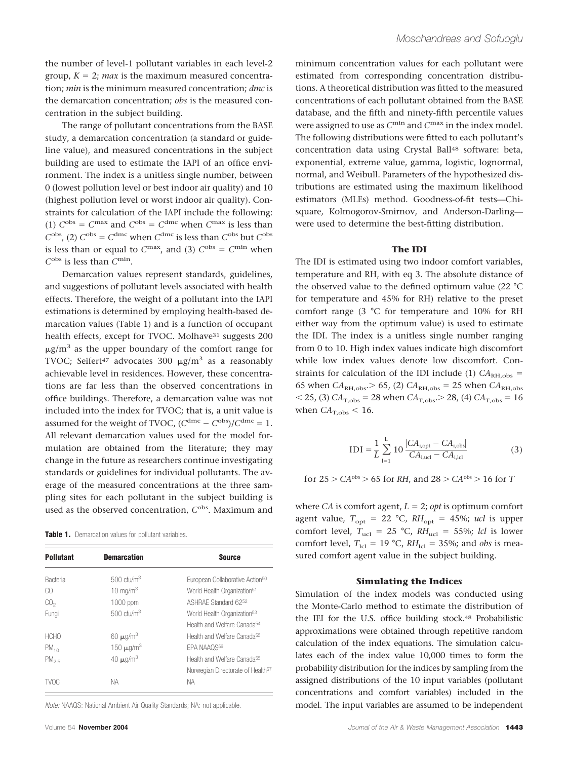the number of level-1 pollutant variables in each level-2 group,  $K = 2$ ; *max* is the maximum measured concentration; *min* is the minimum measured concentration; *dmc* is the demarcation concentration; *obs* is the measured concentration in the subject building.

The range of pollutant concentrations from the BASE study, a demarcation concentration (a standard or guideline value), and measured concentrations in the subject building are used to estimate the IAPI of an office environment. The index is a unitless single number, between 0 (lowest pollution level or best indoor air quality) and 10 (highest pollution level or worst indoor air quality). Constraints for calculation of the IAPI include the following: (1)  $C^{obs} = C^{max}$  and  $C^{obs} = C^{dmc}$  when  $C^{max}$  is less than  $C^{\text{obs}}$ , (2)  $C^{\text{obs}} = C^{\text{dmc}}$  when  $C^{\text{dmc}}$  is less than  $C^{\text{obs}}$  but  $C^{\text{obs}}$ is less than or equal to  $C^{max}$ , and (3)  $C^{obs} = C^{min}$  when *C*obs is less than *C*min.

Demarcation values represent standards, guidelines, and suggestions of pollutant levels associated with health effects. Therefore, the weight of a pollutant into the IAPI estimations is determined by employing health-based demarcation values (Table 1) and is a function of occupant health effects, except for TVOC. Molhave<sup>31</sup> suggests 200  $\mu$ g/m<sup>3</sup> as the upper boundary of the comfort range for TVOC; Seifert<sup>47</sup> advocates 300  $\mu$ g/m<sup>3</sup> as a reasonably achievable level in residences. However, these concentrations are far less than the observed concentrations in office buildings. Therefore, a demarcation value was not included into the index for TVOC; that is, a unit value is assumed for the weight of TVOC,  $(C^{dmc} - C^{obs})/C^{dmc} = 1$ . All relevant demarcation values used for the model formulation are obtained from the literature; they may change in the future as researchers continue investigating standards or guidelines for individual pollutants. The average of the measured concentrations at the three sampling sites for each pollutant in the subject building is used as the observed concentration, *C*obs. Maximum and

**Table 1.** Demarcation values for pollutant variables.

| <b>Pollutant</b> | <b>Demarcation</b>         | <b>Source</b>                                 |
|------------------|----------------------------|-----------------------------------------------|
| <b>Bacteria</b>  | 500 cfu/m <sup>3</sup>     | European Collaborative Action <sup>50</sup>   |
| CO.              | $10 \text{ mg/m}^3$        | World Health Organization <sup>51</sup>       |
| CO <sub>2</sub>  | 1000 ppm                   | ASHRAF Standard 6252                          |
| Fungi            | 500 cfu/m <sup>3</sup>     | World Health Organization <sup>53</sup>       |
|                  |                            | Health and Welfare Canada <sup>54</sup>       |
| HCHO             | $60 \mu g/m3$              | Health and Welfare Canada <sup>55</sup>       |
| $PM_{10}$        | 150 $\mu$ g/m <sup>3</sup> | FPA NAAQS <sup>56</sup>                       |
| $PM_{2.5}$       | 40 $\mu$ g/m <sup>3</sup>  | Health and Welfare Canada <sup>55</sup>       |
|                  |                            | Norwegian Directorate of Health <sup>57</sup> |
| TVOC.            | <b>ΝΑ</b>                  | ΝA                                            |

Note: NAAQS: National Ambient Air Quality Standards; NA: not applicable.

minimum concentration values for each pollutant were estimated from corresponding concentration distributions. A theoretical distribution was fitted to the measured concentrations of each pollutant obtained from the BASE database, and the fifth and ninety-fifth percentile values were assigned to use as *C*min and *C*max in the index model. The following distributions were fitted to each pollutant's concentration data using Crystal Ball<sup>48</sup> software: beta, exponential, extreme value, gamma, logistic, lognormal, normal, and Weibull. Parameters of the hypothesized distributions are estimated using the maximum likelihood estimators (MLEs) method. Goodness-of-fit tests—Chisquare, Kolmogorov-Smirnov, and Anderson-Darling were used to determine the best-fitting distribution.

#### **The IDI**

The IDI is estimated using two indoor comfort variables, temperature and RH, with eq 3. The absolute distance of the observed value to the defined optimum value (22 °C for temperature and 45% for RH) relative to the preset comfort range (3 °C for temperature and 10% for RH either way from the optimum value) is used to estimate the IDI. The index is a unitless single number ranging from 0 to 10. High index values indicate high discomfort while low index values denote low discomfort. Constraints for calculation of the IDI include (1)  $CA_{RH,obs}$  = 65 when  $CA_{RH,obs}$   $> 65$ , (2)  $CA_{RH,obs} = 25$  when  $CA_{RH,obs}$  $<$  25, (3)  $CA_{\text{T,obs}} = 28$  when  $CA_{\text{T,obs}} > 28$ , (4)  $CA_{\text{T,obs}} = 16$ when  $CA_{\text{T}obs} < 16$ .

$$
IDI = \frac{1}{L} \sum_{l=1}^{L} 10 \frac{|CA_{i,opt} - CA_{i,obs}|}{CA_{i,vel} - CA_{i,ld}}
$$
(3)

for  $25 > CA^{obs} > 65$  for *RH*, and  $28 > CA^{obs} > 16$  for *T* 

where *CA* is comfort agent,  $L = 2$ ; *opt* is optimum comfort agent value,  $T_{\rm opt}$  = 22 °C, RH<sub>opt</sub> = 45%; *ucl* is upper comfort level,  $T_{\text{ucl}} = 25 \text{ °C}$ ,  $RH_{\text{ucl}} = 55\%;$  *lcl* is lower comfort level,  $T_{\text{lcl}} = 19 \text{ °C}$ ,  $RH_{\text{lcl}} = 35\%$ ; and *obs* is measured comfort agent value in the subject building.

#### **Simulating the Indices**

Simulation of the index models was conducted using the Monte-Carlo method to estimate the distribution of the IEI for the U.S. office building stock.48 Probabilistic approximations were obtained through repetitive random calculation of the index equations. The simulation calculates each of the index value 10,000 times to form the probability distribution for the indices by sampling from the assigned distributions of the 10 input variables (pollutant concentrations and comfort variables) included in the model. The input variables are assumed to be independent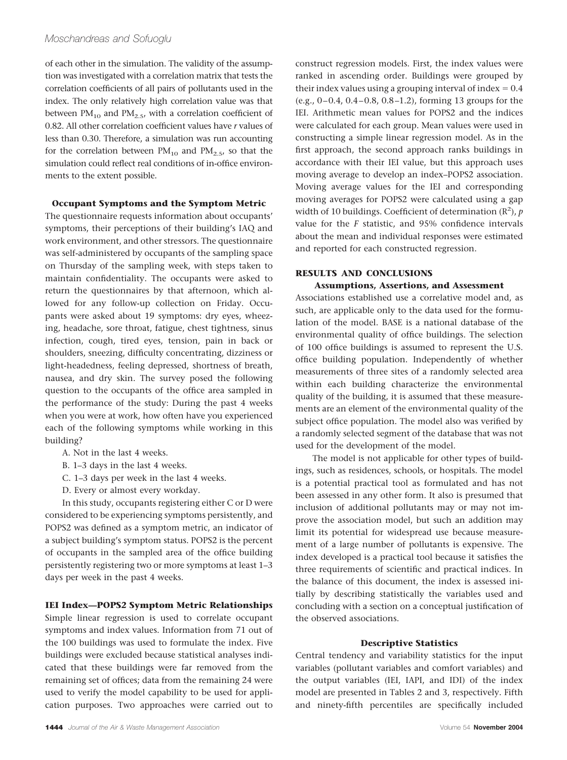# *Moschandreas and Sofuoglu*

of each other in the simulation. The validity of the assumption was investigated with a correlation matrix that tests the correlation coefficients of all pairs of pollutants used in the index. The only relatively high correlation value was that between  $PM_{10}$  and  $PM_{25}$ , with a correlation coefficient of 0.82. All other correlation coefficient values have *r* values of less than 0.30. Therefore, a simulation was run accounting for the correlation between  $PM_{10}$  and  $PM_{2.5}$ , so that the simulation could reflect real conditions of in-office environments to the extent possible.

#### **Occupant Symptoms and the Symptom Metric**

The questionnaire requests information about occupants' symptoms, their perceptions of their building's IAQ and work environment, and other stressors. The questionnaire was self-administered by occupants of the sampling space on Thursday of the sampling week, with steps taken to maintain confidentiality. The occupants were asked to return the questionnaires by that afternoon, which allowed for any follow-up collection on Friday. Occupants were asked about 19 symptoms: dry eyes, wheezing, headache, sore throat, fatigue, chest tightness, sinus infection, cough, tired eyes, tension, pain in back or shoulders, sneezing, difficulty concentrating, dizziness or light-headedness, feeling depressed, shortness of breath, nausea, and dry skin. The survey posed the following question to the occupants of the office area sampled in the performance of the study: During the past 4 weeks when you were at work, how often have you experienced each of the following symptoms while working in this building?

- A. Not in the last 4 weeks.
- B. 1–3 days in the last 4 weeks.
- C. 1–3 days per week in the last 4 weeks.
- D. Every or almost every workday.

In this study, occupants registering either C or D were considered to be experiencing symptoms persistently, and POPS2 was defined as a symptom metric, an indicator of a subject building's symptom status. POPS2 is the percent of occupants in the sampled area of the office building persistently registering two or more symptoms at least 1–3 days per week in the past 4 weeks.

## **IEI Index—POPS2 Symptom Metric Relationships**

Simple linear regression is used to correlate occupant symptoms and index values. Information from 71 out of the 100 buildings was used to formulate the index. Five buildings were excluded because statistical analyses indicated that these buildings were far removed from the remaining set of offices; data from the remaining 24 were used to verify the model capability to be used for application purposes. Two approaches were carried out to

construct regression models. First, the index values were ranked in ascending order. Buildings were grouped by their index values using a grouping interval of index  $= 0.4$ (e.g.,  $0-0.4$ ,  $0.4-0.8$ ,  $0.8-1.2$ ), forming 13 groups for the IEI. Arithmetic mean values for POPS2 and the indices were calculated for each group. Mean values were used in constructing a simple linear regression model. As in the first approach, the second approach ranks buildings in accordance with their IEI value, but this approach uses moving average to develop an index–POPS2 association. Moving average values for the IEI and corresponding moving averages for POPS2 were calculated using a gap width of 10 buildings. Coefficient of determination  $(\mathbb{R}^2)$ ,  $p$ value for the *F* statistic, and 95% confidence intervals about the mean and individual responses were estimated and reported for each constructed regression.

## **RESULTS AND CONCLUSIONS**

#### **Assumptions, Assertions, and Assessment**

Associations established use a correlative model and, as such, are applicable only to the data used for the formulation of the model. BASE is a national database of the environmental quality of office buildings. The selection of 100 office buildings is assumed to represent the U.S. office building population. Independently of whether measurements of three sites of a randomly selected area within each building characterize the environmental quality of the building, it is assumed that these measurements are an element of the environmental quality of the subject office population. The model also was verified by a randomly selected segment of the database that was not used for the development of the model.

The model is not applicable for other types of buildings, such as residences, schools, or hospitals. The model is a potential practical tool as formulated and has not been assessed in any other form. It also is presumed that inclusion of additional pollutants may or may not improve the association model, but such an addition may limit its potential for widespread use because measurement of a large number of pollutants is expensive. The index developed is a practical tool because it satisfies the three requirements of scientific and practical indices. In the balance of this document, the index is assessed initially by describing statistically the variables used and concluding with a section on a conceptual justification of the observed associations.

### **Descriptive Statistics**

Central tendency and variability statistics for the input variables (pollutant variables and comfort variables) and the output variables (IEI, IAPI, and IDI) of the index model are presented in Tables 2 and 3, respectively. Fifth and ninety-fifth percentiles are specifically included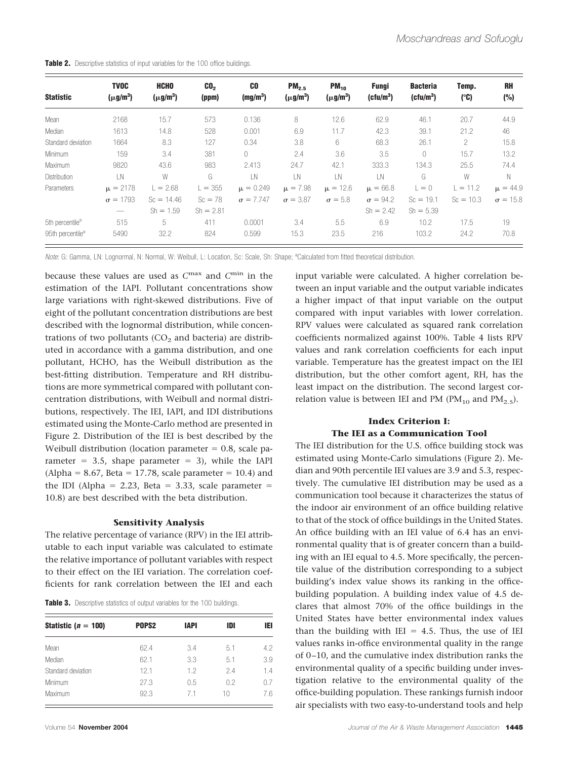|  | <b>Table 2.</b> Descriptive statistics of input variables for the 100 office buildings. |  |  |  |  |  |  |  |  |
|--|-----------------------------------------------------------------------------------------|--|--|--|--|--|--|--|--|
|--|-----------------------------------------------------------------------------------------|--|--|--|--|--|--|--|--|

| <b>Statistic</b>             | <b>TVOC</b><br>$(\mu$ g/m <sup>3</sup> )                                                                                                                                                                                                                                                                                                                                               | <b>НСНО</b><br>$(\mu$ g/m <sup>3</sup> ) | CO <sub>2</sub><br>(ppm) | C <sub>0</sub><br>$(mg/m^3)$ | PM <sub>2.5</sub><br>$(\mu$ g/m <sup>3</sup> ) | $PM_{10}$<br>$(\mu$ g/m <sup>3</sup> ) | <b>Fungi</b><br>$(ctu/m^3)$ | <b>Bacteria</b><br>$(ctu/m^3)$ | Temp.<br>(C) | <b>RH</b><br>$(\%)$ |
|------------------------------|----------------------------------------------------------------------------------------------------------------------------------------------------------------------------------------------------------------------------------------------------------------------------------------------------------------------------------------------------------------------------------------|------------------------------------------|--------------------------|------------------------------|------------------------------------------------|----------------------------------------|-----------------------------|--------------------------------|--------------|---------------------|
| Mean                         | 2168                                                                                                                                                                                                                                                                                                                                                                                   | 15.7                                     | 573                      | 0.136                        | 8                                              | 12.6                                   | 62.9                        | 46.1                           | 20.7         | 44.9                |
| Median                       | 1613                                                                                                                                                                                                                                                                                                                                                                                   | 14.8                                     | 528                      | 0.001                        | 6.9                                            | 11.7                                   | 42.3                        | 39.1                           | 21.2         | 46                  |
| Standard deviation           | 1664                                                                                                                                                                                                                                                                                                                                                                                   | 8.3                                      | 127                      | 0.34                         | 3.8                                            | 6                                      | 68.3                        | 26.1                           | 2            | 15.8                |
| Minimum                      | 159                                                                                                                                                                                                                                                                                                                                                                                    | 3.4                                      | 381                      | $\bigcap$                    | 2.4                                            | 3.6                                    | 3.5                         | $\theta$                       | 15.7         | 13.2                |
| Maximum                      | 9820                                                                                                                                                                                                                                                                                                                                                                                   | 43.6                                     | 983                      | 2.413                        | 24.7                                           | 42.1                                   | 333.3                       | 134.3                          | 25.5         | 74.4                |
| <b>Distribution</b>          | LN.                                                                                                                                                                                                                                                                                                                                                                                    | W                                        | G                        | $\overline{N}$               | $\mathsf{N}$                                   | LN.                                    | $\overline{\mathsf{N}}$     | G                              | W            | N                   |
| Parameters                   | $\mu = 2178$                                                                                                                                                                                                                                                                                                                                                                           | $L = 2.68$                               | $L = 355$                | $\mu = 0.249$                | $\mu = 7.98$                                   | $\mu = 12.6$                           | $\mu = 66.8$                | $L = 0$                        | $L = 11.2$   | $\mu = 44.9$        |
|                              | 1793<br>$\sigma =$                                                                                                                                                                                                                                                                                                                                                                     | $Sc = 14.46$                             | $Sc = 78$                | $\sigma = 7.747$             | $\sigma = 3.87$                                | $\sigma = 5.8$                         | $\sigma = 94.2$             | $Sc = 19.1$                    | $Sc = 10.3$  | $\sigma = 15.8$     |
|                              | $\hspace{1.0cm} \overline{\hspace{1.0cm} \hspace{1.0cm} \hspace{1.0cm} \hspace{1.0cm} } \hspace{1.0cm} \hspace{1.0cm} \hspace{1.0cm} \hspace{1.0cm} } \hspace{1.0cm} \hspace{1.0cm} \hspace{1.0cm} \hspace{1.0cm} \hspace{1.0cm} \hspace{1.0cm} \hspace{1.0cm} \hspace{1.0cm} \hspace{1.0cm} \hspace{1.0cm} \hspace{1.0cm} \hspace{1.0cm} \hspace{1.0cm} \hspace{1.0cm} \hspace{1.0cm$ | $Sh = 1.59$                              | $Sh = 2.81$              |                              |                                                |                                        | $Sh = 2.42$                 | $Sh = 5.39$                    |              |                     |
| 5th percentile <sup>a</sup>  | 515                                                                                                                                                                                                                                                                                                                                                                                    | 5                                        | 411                      | 0.0001                       | 3.4                                            | 5.5                                    | 6.9                         | 10.2                           | 17.5         | 19                  |
| 95th percentile <sup>a</sup> | 5490                                                                                                                                                                                                                                                                                                                                                                                   | 32.2                                     | 824                      | 0.599                        | 15.3                                           | 23.5                                   | 216                         | 103.2                          | 24.2         | 70.8                |

Note: G: Gamma, LN: Lognormal, N: Normal, W: Weibull, L: Location, Sc: Scale, Sh: Shape; <sup>a</sup>Calculated from fitted theoretical distribution.

because these values are used as *C*max and *C*min in the estimation of the IAPI. Pollutant concentrations show large variations with right-skewed distributions. Five of eight of the pollutant concentration distributions are best described with the lognormal distribution, while concentrations of two pollutants  $(CO<sub>2</sub>$  and bacteria) are distributed in accordance with a gamma distribution, and one pollutant, HCHO, has the Weibull distribution as the best-fitting distribution. Temperature and RH distributions are more symmetrical compared with pollutant concentration distributions, with Weibull and normal distributions, respectively. The IEI, IAPI, and IDI distributions estimated using the Monte-Carlo method are presented in Figure 2. Distribution of the IEI is best described by the Weibull distribution (location parameter  $= 0.8$ , scale pa- $\tau$  rameter = 3.5, shape parameter = 3), while the IAPI  $(A$ lpha = 8.67, Beta = 17.78, scale parameter = 10.4) and the IDI (Alpha = 2.23, Beta = 3.33, scale parameter = 10.8) are best described with the beta distribution.

### **Sensitivity Analysis**

The relative percentage of variance (RPV) in the IEI attributable to each input variable was calculated to estimate the relative importance of pollutant variables with respect to their effect on the IEI variation. The correlation coefficients for rank correlation between the IEI and each

|  |  | <b>Table 3.</b> Descriptive statistics of output variables for the 100 buildings. |  |  |
|--|--|-----------------------------------------------------------------------------------|--|--|
|--|--|-----------------------------------------------------------------------------------|--|--|

| Statistic ( $n = 100$ ) | POPS <sub>2</sub> | <b>IAPI</b> | IDI | iei |
|-------------------------|-------------------|-------------|-----|-----|
| Mean                    | 62.4              | 3.4         | 5.1 | 4.2 |
| Median                  | 62.1              | 3.3         | 5.1 | 3.9 |
| Standard deviation      | 12.1              | 1.2         | 2.4 | 1.4 |
| Minimum                 | 27.3              | 0.5         | 0.2 | 0.7 |
| Maximum                 | 92.3              | 71          | 10  | 7.6 |

input variable were calculated. A higher correlation between an input variable and the output variable indicates a higher impact of that input variable on the output compared with input variables with lower correlation. RPV values were calculated as squared rank correlation coefficients normalized against 100%. Table 4 lists RPV values and rank correlation coefficients for each input variable. Temperature has the greatest impact on the IEI distribution, but the other comfort agent, RH, has the least impact on the distribution. The second largest correlation value is between IEI and PM ( $PM_{10}$  and  $PM_{2.5}$ ).

# **Index Criterion I: The IEI as a Communication Tool**

The IEI distribution for the U.S. office building stock was estimated using Monte-Carlo simulations (Figure 2). Median and 90th percentile IEI values are 3.9 and 5.3, respectively. The cumulative IEI distribution may be used as a communication tool because it characterizes the status of the indoor air environment of an office building relative to that of the stock of office buildings in the United States. An office building with an IEI value of 6.4 has an environmental quality that is of greater concern than a building with an IEI equal to 4.5. More specifically, the percentile value of the distribution corresponding to a subject building's index value shows its ranking in the officebuilding population. A building index value of 4.5 declares that almost 70% of the office buildings in the United States have better environmental index values than the building with  $IEI = 4.5$ . Thus, the use of IEI values ranks in-office environmental quality in the range of 0-10, and the cumulative index distribution ranks the environmental quality of a specific building under investigation relative to the environmental quality of the office-building population. These rankings furnish indoor air specialists with two easy-to-understand tools and help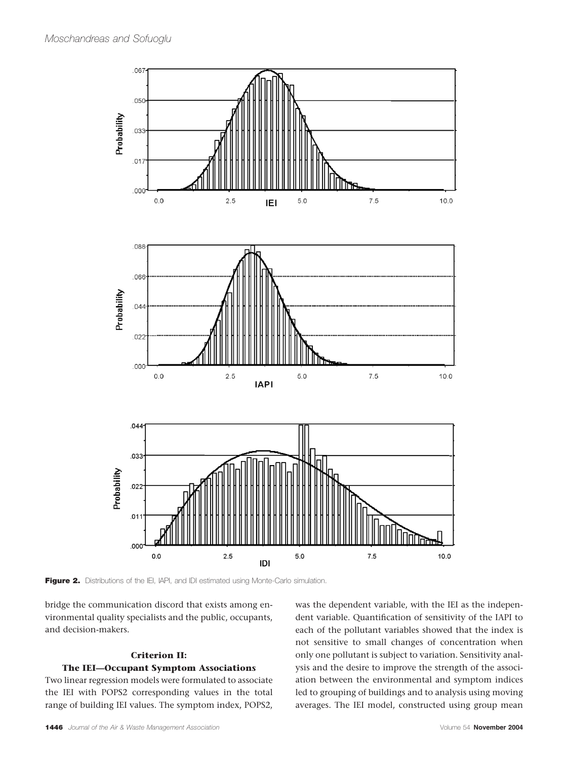

Figure 2. Distributions of the IEI, IAPI, and IDI estimated using Monte-Carlo simulation.

bridge the communication discord that exists among environmental quality specialists and the public, occupants, and decision-makers.

## **Criterion II:**

## **The IEI—Occupant Symptom Associations**

Two linear regression models were formulated to associate the IEI with POPS2 corresponding values in the total range of building IEI values. The symptom index, POPS2,

was the dependent variable, with the IEI as the independent variable. Quantification of sensitivity of the IAPI to each of the pollutant variables showed that the index is not sensitive to small changes of concentration when only one pollutant is subject to variation. Sensitivity analysis and the desire to improve the strength of the association between the environmental and symptom indices led to grouping of buildings and to analysis using moving averages. The IEI model, constructed using group mean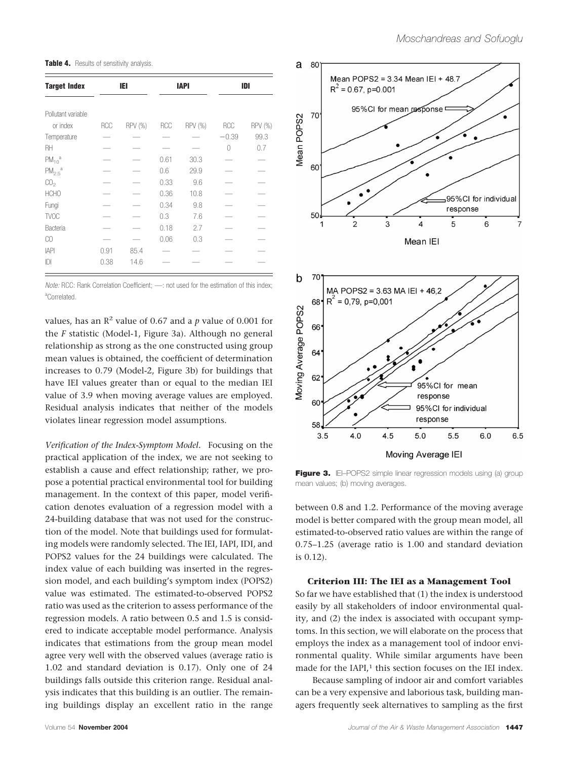**Table 4.** Results of sensitivity analysis.

| <b>Target Index</b>            | IEI        |         | <b>IAPI</b> |         | <b>IDI</b> |         |
|--------------------------------|------------|---------|-------------|---------|------------|---------|
| Pollutant variable             |            |         |             |         |            |         |
| or index                       | <b>RCC</b> | RPV (%) | <b>RCC</b>  | RPV (%) | <b>RCC</b> | RPV (%) |
| Temperature                    |            |         |             |         | $-0.39$    | 99.3    |
| <b>RH</b>                      |            |         |             |         | $\bigcap$  | 0.7     |
| $PM_{10}^a$                    |            |         | 0.61        | 30.3    |            |         |
| PM <sub>2.5</sub> <sup>a</sup> |            |         | 0.6         | 29.9    |            |         |
| CO <sub>2</sub>                |            |         | 0.33        | 9.6     |            |         |
| <b>HCHO</b>                    |            |         | 0.36        | 10.8    |            |         |
| Fungi                          |            |         | 0.34        | 9.8     |            |         |
| <b>TVOC</b>                    |            |         | 0.3         | 7.6     |            |         |
| Bacteria                       |            |         | 0.18        | 2.7     |            |         |
| CO.                            |            |         | 0.06        | 0.3     |            |         |
| <b>IAPI</b>                    | 0.91       | 85.4    |             |         |            |         |
| D                              | 0.38       | 14.6    |             |         |            |         |

Note: RCC: Rank Correlation Coefficient: - not used for the estimation of this index: a Correlated.

values, has an  $\mathbb{R}^2$  value of 0.67 and a *p* value of 0.001 for the *F* statistic (Model-1, Figure 3a). Although no general relationship as strong as the one constructed using group mean values is obtained, the coefficient of determination increases to 0.79 (Model-2, Figure 3b) for buildings that have IEI values greater than or equal to the median IEI value of 3.9 when moving average values are employed. Residual analysis indicates that neither of the models violates linear regression model assumptions.

*Verification of the Index-Symptom Model.* Focusing on the practical application of the index, we are not seeking to establish a cause and effect relationship; rather, we propose a potential practical environmental tool for building management. In the context of this paper, model verification denotes evaluation of a regression model with a 24-building database that was not used for the construction of the model. Note that buildings used for formulating models were randomly selected. The IEI, IAPI, IDI, and POPS2 values for the 24 buildings were calculated. The index value of each building was inserted in the regression model, and each building's symptom index (POPS2) value was estimated. The estimated-to-observed POPS2 ratio was used as the criterion to assess performance of the regression models. A ratio between 0.5 and 1.5 is considered to indicate acceptable model performance. Analysis indicates that estimations from the group mean model agree very well with the observed values (average ratio is 1.02 and standard deviation is 0.17). Only one of 24 buildings falls outside this criterion range. Residual analysis indicates that this building is an outlier. The remaining buildings display an excellent ratio in the range



Figure 3. IEI-POPS2 simple linear regression models using (a) group mean values; (b) moving averages.

between 0.8 and 1.2. Performance of the moving average model is better compared with the group mean model, all estimated-to-observed ratio values are within the range of 0.75–1.25 (average ratio is 1.00 and standard deviation is 0.12).

# **Criterion III: The IEI as a Management Tool**

So far we have established that (1) the index is understood easily by all stakeholders of indoor environmental quality, and (2) the index is associated with occupant symptoms. In this section, we will elaborate on the process that employs the index as a management tool of indoor environmental quality. While similar arguments have been made for the IAPI,<sup>1</sup> this section focuses on the IEI index.

Because sampling of indoor air and comfort variables can be a very expensive and laborious task, building managers frequently seek alternatives to sampling as the first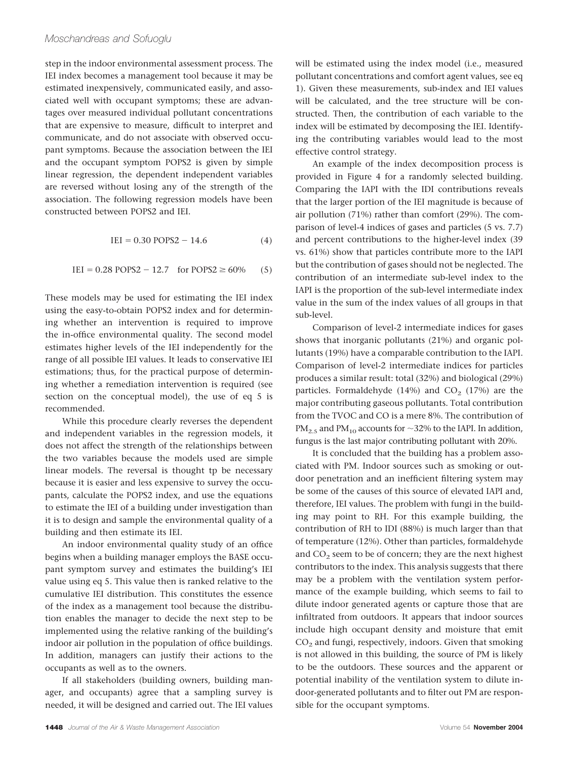step in the indoor environmental assessment process. The IEI index becomes a management tool because it may be estimated inexpensively, communicated easily, and associated well with occupant symptoms; these are advantages over measured individual pollutant concentrations that are expensive to measure, difficult to interpret and communicate, and do not associate with observed occupant symptoms. Because the association between the IEI and the occupant symptom POPS2 is given by simple linear regression, the dependent independent variables are reversed without losing any of the strength of the association. The following regression models have been constructed between POPS2 and IEI.

$$
IEI = 0.30 POPS2 - 14.6 \tag{4}
$$

$$
IEI = 0.28 \text{ POPS2} - 12.7 \quad \text{for POPS2} \ge 60\% \tag{5}
$$

These models may be used for estimating the IEI index using the easy-to-obtain POPS2 index and for determining whether an intervention is required to improve the in-office environmental quality. The second model estimates higher levels of the IEI independently for the range of all possible IEI values. It leads to conservative IEI estimations; thus, for the practical purpose of determining whether a remediation intervention is required (see section on the conceptual model), the use of eq 5 is recommended.

While this procedure clearly reverses the dependent and independent variables in the regression models, it does not affect the strength of the relationships between the two variables because the models used are simple linear models. The reversal is thought tp be necessary because it is easier and less expensive to survey the occupants, calculate the POPS2 index, and use the equations to estimate the IEI of a building under investigation than it is to design and sample the environmental quality of a building and then estimate its IEI.

An indoor environmental quality study of an office begins when a building manager employs the BASE occupant symptom survey and estimates the building's IEI value using eq 5. This value then is ranked relative to the cumulative IEI distribution. This constitutes the essence of the index as a management tool because the distribution enables the manager to decide the next step to be implemented using the relative ranking of the building's indoor air pollution in the population of office buildings. In addition, managers can justify their actions to the occupants as well as to the owners.

If all stakeholders (building owners, building manager, and occupants) agree that a sampling survey is needed, it will be designed and carried out. The IEI values will be estimated using the index model (i.e., measured pollutant concentrations and comfort agent values, see eq 1). Given these measurements, sub-index and IEI values will be calculated, and the tree structure will be constructed. Then, the contribution of each variable to the index will be estimated by decomposing the IEI. Identifying the contributing variables would lead to the most effective control strategy.

An example of the index decomposition process is provided in Figure 4 for a randomly selected building. Comparing the IAPI with the IDI contributions reveals that the larger portion of the IEI magnitude is because of air pollution (71%) rather than comfort (29%). The comparison of level-4 indices of gases and particles (5 vs. 7.7) and percent contributions to the higher-level index (39 vs. 61%) show that particles contribute more to the IAPI but the contribution of gases should not be neglected. The contribution of an intermediate sub-level index to the IAPI is the proportion of the sub-level intermediate index value in the sum of the index values of all groups in that sub-level.

Comparison of level-2 intermediate indices for gases shows that inorganic pollutants (21%) and organic pollutants (19%) have a comparable contribution to the IAPI. Comparison of level-2 intermediate indices for particles produces a similar result: total (32%) and biological (29%) particles. Formaldehyde (14%) and  $CO<sub>2</sub>$  (17%) are the major contributing gaseous pollutants. Total contribution from the TVOC and CO is a mere 8%. The contribution of PM<sub>2.5</sub> and PM<sub>10</sub> accounts for  $\sim$ 32% to the IAPI. In addition, fungus is the last major contributing pollutant with 20%.

It is concluded that the building has a problem associated with PM. Indoor sources such as smoking or outdoor penetration and an inefficient filtering system may be some of the causes of this source of elevated IAPI and, therefore, IEI values. The problem with fungi in the building may point to RH. For this example building, the contribution of RH to IDI (88%) is much larger than that of temperature (12%). Other than particles, formaldehyde and  $CO<sub>2</sub>$  seem to be of concern; they are the next highest contributors to the index. This analysis suggests that there may be a problem with the ventilation system performance of the example building, which seems to fail to dilute indoor generated agents or capture those that are infiltrated from outdoors. It appears that indoor sources include high occupant density and moisture that emit  $CO<sub>2</sub>$  and fungi, respectively, indoors. Given that smoking is not allowed in this building, the source of PM is likely to be the outdoors. These sources and the apparent or potential inability of the ventilation system to dilute indoor-generated pollutants and to filter out PM are responsible for the occupant symptoms.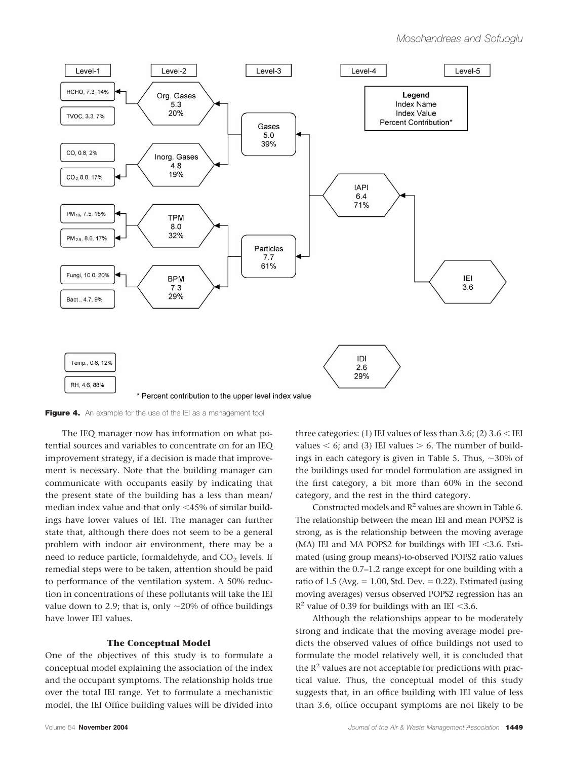



The IEQ manager now has information on what potential sources and variables to concentrate on for an IEQ improvement strategy, if a decision is made that improvement is necessary. Note that the building manager can communicate with occupants easily by indicating that the present state of the building has a less than mean/ median index value and that only 45% of similar buildings have lower values of IEI. The manager can further state that, although there does not seem to be a general problem with indoor air environment, there may be a need to reduce particle, formaldehyde, and  $CO<sub>2</sub>$  levels. If remedial steps were to be taken, attention should be paid to performance of the ventilation system. A 50% reduction in concentrations of these pollutants will take the IEI value down to 2.9; that is, only  $\sim$  20% of office buildings have lower IEI values.

#### **The Conceptual Model**

One of the objectives of this study is to formulate a conceptual model explaining the association of the index and the occupant symptoms. The relationship holds true over the total IEI range. Yet to formulate a mechanistic model, the IEI Office building values will be divided into

three categories: (1) IEI values of less than 3.6; (2)  $3.6 <$  IEI values  $6$ ; and (3) IEI values  $> 6$ . The number of buildings in each category is given in Table 5. Thus,  $\sim$ 30% of the buildings used for model formulation are assigned in the first category, a bit more than 60% in the second category, and the rest in the third category.

Constructed models and  $R^2$  values are shown in Table 6. The relationship between the mean IEI and mean POPS2 is strong, as is the relationship between the moving average (MA) IEI and MA POPS2 for buildings with IEI  $<$ 3.6. Estimated (using group means)-to-observed POPS2 ratio values are within the 0.7–1.2 range except for one building with a ratio of  $1.5$  (Avg.  $= 1.00$ , Std. Dev.  $= 0.22$ ). Estimated (using moving averages) versus observed POPS2 regression has an  $\mathbb{R}^2$  value of 0.39 for buildings with an IEI <3.6.

Although the relationships appear to be moderately strong and indicate that the moving average model predicts the observed values of office buildings not used to formulate the model relatively well, it is concluded that the  $\mathbb{R}^2$  values are not acceptable for predictions with practical value. Thus, the conceptual model of this study suggests that, in an office building with IEI value of less than 3.6, office occupant symptoms are not likely to be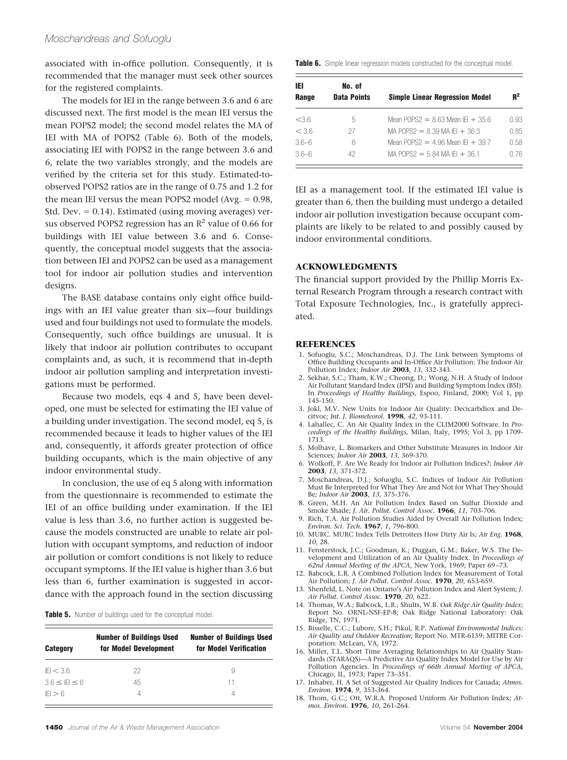associated with in-office pollution. Consequently, it is recommended that the manager must seek other sources for the registered complaints.

The models for IEI in the range between 3.6 and 6 are discussed next. The first model is the mean IEI versus the mean POPS2 model; the second model relates the MA of IEI with MA of POPS2 (Table 6). Both of the models, associating IEI with POPS2 in the range between 3.6 and 6, relate the two variables strongly, and the models are verified by the criteria set for this study. Estimated-toobserved POPS2 ratios are in the range of 0.75 and 1.2 for the mean IEI versus the mean POPS2 model (Avg.  $= 0.98$ , Std. Dev. = 0.14). Estimated (using moving averages) versus observed POPS2 regression has an  $\mathbb{R}^2$  value of 0.66 for buildings with IEI value between 3.6 and 6. Consequently, the conceptual model suggests that the association between IEI and POPS2 can be used as a management tool for indoor air pollution studies and intervention designs.

The BASE database contains only eight office buildings with an IEI value greater than six—four buildings used and four buildings not used to formulate the models. Consequently, such office buildings are unusual. It is likely that indoor air pollution contributes to occupant complaints and, as such, it is recommend that in-depth indoor air pollution sampling and interpretation investigations must be performed.

Because two models, eqs 4 and 5, have been developed, one must be selected for estimating the IEI value of a building under investigation. The second model, eq 5, is recommended because it leads to higher values of the IEI and, consequently, it affords greater protection of office building occupants, which is the main objective of any indoor environmental study.

In conclusion, the use of eq 5 along with information from the questionnaire is recommended to estimate the IEI of an office building under examination. If the IEI value is less than 3.6, no further action is suggested because the models constructed are unable to relate air pollution with occupant symptoms, and reduction of indoor air pollution or comfort conditions is not likely to reduce occupant symptoms. If the IEI value is higher than 3.6 but less than 6, further examination is suggested in accordance with the approach found in the section discussing

#### **Table 5.** Number of buildings used for the conceptual model

| <b>Category</b>        | <b>Number of Buildings Used</b><br>for Model Development | <b>Number of Buildings Used</b><br>for Model Verification |  |  |
|------------------------|----------------------------------------------------------|-----------------------------------------------------------|--|--|
| IF < 3.6               | 22                                                       | 9                                                         |  |  |
| $3.6 \leq$ FI $\leq$ 6 | 45                                                       | 11                                                        |  |  |
| IF > 6                 | 4                                                        | 4                                                         |  |  |

**Table 6.** Simple linear regression models constructed for the conceptual model.

| IEI          | No. of             |                                       |       |
|--------------|--------------------|---------------------------------------|-------|
| <b>Range</b> | <b>Data Points</b> | <b>Simple Linear Regression Model</b> | $R^2$ |
| < 3.6        | 5                  | Mean POPS2 = $8.63$ Mean IFL + $35.6$ | 0.93  |
| < 3.6        | 27                 | MA POPS2 = $8.39$ MA IFL + $36.3$     | 0.85  |
| $3.6 - 6$    | 6                  | Mean POPS2 = 4.96 Mean IFL + 39.7     | 0.58  |
| $3.6 - 6$    | 42                 | MA POPS2 = 5.84 MA IFL + 36.1         | 0.76  |

IEI as a management tool. If the estimated IEI value is greater than 6, then the building must undergo a detailed indoor air pollution investigation because occupant complaints are likely to be related to and possibly caused by indoor environmental conditions.

## **ACKNOWLEDGMENTS**

The financial support provided by the Phillip Morris External Research Program through a research contract with Total Exposure Technologies, Inc., is gratefully appreciated.

#### **REFERENCES**

- 1. Sofuoglu, S.C.; Moschandreas, D.J. The Link between Symptoms of Office Building Occupants and In-Office Air Pollution: The Indoor Air Pollution Index; *Indoor Air* **2003**, *13,* 332-343.
- 2. Sekhar, S.C.; Tham, K.W.; Cheong, D.; Wong, N.H. A Study of Indoor Air Pollutant Standard Index (IPSI) and Building Symptom Index (BSI). In *Proceedings of Healthy Buildings,* Espoo, Finland, 2000; Vol 1, pp 145-150.
- 3. Jokl, M.V. New Units for Indoor Air Quality: Decicarbdiox and Decitvoc; *Int. J. Biometeorol.* **1998**, *42*, 93-111.
- 4. Lahallec, C. An Air Quality Index in the CLIM2000 Software. In *Proceedings of the Healthy Buildings,* Milan, Italy, 1995; Vol 3, pp 1709- 1713.
- 5. Molhave, L. Biomarkers and Other Substitute Measures in Indoor Air Sciences; *Indoor Air* **2003**, *13*, 369-370.
- 6. Wolkoff, P. Are We Ready for Indoor air Pollution Indices?; *Indoor Air* **2003**, *13*, 371-372.
- 7. Moschandreas, D.J.; Sofuoglu, S.C. Indices of Indoor Air Pollution Must Be Interpreted for What They Are and Not for What They Should Be; *Indoor Air* **2003**, *13*, 375-376.
- 8. Green, M.H. An Air Pollution Index Based on Sulfur Dioxide and Smoke Shade; *J. Air. Pollut. Control Assoc.* **1966**, *11*, 703-706.
- 9. Rich, T.A. Air Pollution Studies Aided by Overall Air Pollution Index; *Environ. Sci. Tech.* **1967**, *1*, 796-800.
- 10. MURC. MURC Index Tells Detroiters How Dirty Air Is; *Air Eng.* **1968**, *10,* 28.
- 11. Fensterstock, J.C.; Goodman, K.; Duggan, G.M.; Baker, W.S. The Development and Utilization of an Air Quality Index. In *Proceedings of 62nd Annual Meeting of the APCA*, New York, 1969; Paper 69 –73.
- 12. Babcock, L.R. A Combined Pollution Index for Measurement of Total Air Pollution; *J. Air Pollut. Control Assoc.* **1970**, *20*, 653-659.
- 13. Shenfeld, L. Note on Ontario's Air Pollution Index and Alert System; *J. Air Pollut. Control Assoc.* **1970**, *20*, 622.
- 14. Thomas, W.A.; Babcock, L.R.; Shults, W.B. *Oak Ridge Air Quality Index*; Report No. ORNL-NSF-EP-8; Oak Ridge National Laboratory: Oak Ridge, TN, 1971.
- 15. Bisselle, C.C.; Lubore, S.H.; Pikul, R.P. *National Environmental Indices: Air Quality and Outdoor Recreation*; Report No. MTR-6159; MITRE Corporation: McLean, VA, 1972.
- 16. Miller, T.L. Short Time Averaging Relationships to Air Quality Standards (STARAQS)—A Predictive Air Quality Index Model for Use by Air Pollution Agencies. In *Proceedings of 66th Annual Meeting of APCA*, Chicago, IL, 1973; Paper 73–351.
- 17. Inhaber, H. A Set of Suggested Air Quality Indices for Canada; *Atmos. Environ.* **1974**, *9*, 353-364.
- 18. Thom, G.C.; Ott, W.R.A. Proposed Uniform Air Pollution Index; *Atmos. Environ.* **1976**, *10*, 261-264.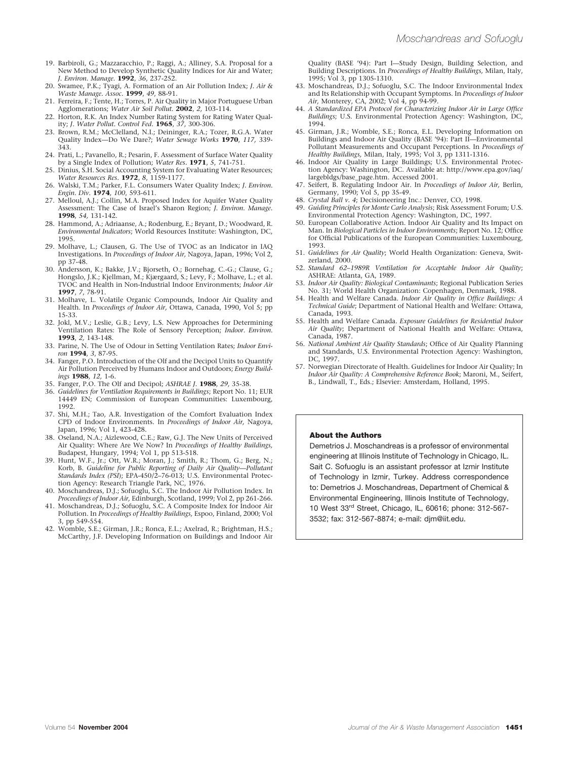- 19. Barbiroli, G.; Mazzaracchio, P.; Raggi, A.; Alliney, S.A. Proposal for a New Method to Develop Synthetic Quality Indices for Air and Water; *J. Environ. Manage.* **1992**, *36*, 237-252.
- 20. Swamee, P.K.; Tyagi, A. Formation of an Air Pollution Index; *J. Air & Waste Manage. Assoc.* **1999**, *49*, 88-91.
- 21. Ferreira, F.; Tente, H.; Torres, P. Air Quality in Major Portuguese Urban Agglomerations; *Water Air Soil Pollut.* **2002**, *2,* 103-114.
- 22. Horton, R.K. An Index Number Rating System for Rating Water Quality; *J*. *Water Pollut. Control Fed.* **1965**, *37*, 300-306.
- 23. Brown, R.M.; McClelland, N.I.; Deininger, R.A.; Tozer, R.G.A. Water Quality Index—Do We Dare?; *Water Sewage Works* **1970**, *117,* 339- 343.
- 24. Prati, L.; Pavanello, R.; Pesarin, F. Assessment of Surface Water Quality by a Single Index of Pollution; *Water Res.* **1971**, *5*, 741-751.
- 25. Dinius, S.H. Social Accounting System for Evaluating Water Resources; *Water Resources Res.* **1972**, *8*, 1159-1177.
- 26. Walski, T.M.; Parker, F.L. Consumers Water Quality Index; *J. Environ. Engin. Div.* **1974**, *100*, 593-611.
- 27. Melloul, A.J.; Collin, M.A. Proposed Index for Aquifer Water Quality Assessment: The Case of Israel's Sharon Region; *J. Environ. Manage.* **1998**, *54,* 131-142.
- 28. Hammond, A.; Adriaanse, A.; Rodenburg, E.; Bryant, D.; Woodward, R. *Environmental Indicators*; World Resources Institute: Washington, DC, 1995.
- 29. Molhave, L.; Clausen, G. The Use of TVOC as an Indicator in IAQ Investigations. In *Proceedings of Indoor Air,* Nagoya, Japan, 1996; Vol 2, pp 37-48.
- 30. Andersson, K.; Bakke, J.V.; Bjorseth, O.; Bornehag, C.-G.; Clause, G.; Hongslo, J.K.; Kjellman, M.; Kjærgaard, S.; Levy, F.; Molhave, L.; et al. TVOC and Health in Non-Industrial Indoor Environments; *Indoor Air* **1997**, *7*, 78-91.
- 31. Molhave, L. Volatile Organic Compounds, Indoor Air Quality and Health. In *Proceedings of Indoor Air,* Ottawa, Canada, 1990, Vol 5; pp 15-33.
- 32. Jokl, M.V.; Leslie, G.B.; Levy, L.S. New Approaches for Determining Ventilation Rates: The Role of Sensory Perception; *Indoor*. *Environ.* **1993**, *2,* 143-148.
- 33. Parine, N. The Use of Odour in Setting Ventilation Rates; *Indoor Environ* **1994**, *3*, 87-95.
- 34. Fanger, P.O. Introduction of the Olf and the Decipol Units to Quantify Air Pollution Perceived by Humans Indoor and Outdoors; *Energy Buildings* **1988**, *12,* 1-6.
- 35. Fanger, P.O. The Olf and Decipol; *ASHRAE J.* **1988**, *29,* 35-38.
- 36. *Guidelines for Ventilation Requirements in Buildings*; Report No. 11; EUR 14449 EN; Commission of European Communities: Luxembourg, 1992.
- 37. Shi, M.H.; Tao, A.R. Investigation of the Comfort Evaluation Index CPD of Indoor Environments. In *Proceedings of Indoor Air,* Nagoya, Japan, 1996; Vol 1, 423-428.
- 38. Oseland, N.A.; Aizlewood, C.E.; Raw, G.J. The New Units of Perceived Air Quality: Where Are We Now? In *Proceedings of Healthy Buildings,* Budapest, Hungary, 1994; Vol 1, pp 513-518.
- 39. Hunt, W.F., Jr.; Ott, W.R.; Moran, J.; Smith, R.; Thom, G.; Berg, N.; Korb, B. *Guideline for Public Reporting of Daily Air Quality—Pollutant Standards Index (PSI*); EPA-450/2–76-013; U.S. Environmental Protection Agency: Research Triangle Park, NC, 1976.
- 40. Moschandreas, D.J.; Sofuoglu, S.C. The Indoor Air Pollution Index. In *Proceedings of Indoor Air,* Edinburgh, Scotland, 1999; Vol 2, pp 261-266.
- 41. Moschandreas, D.J.; Sofuoglu, S.C. A Composite Index for Indoor Air Pollution. In *Proceedings of Healthy Buildings,* Espoo, Finland, 2000; Vol 3, pp 549-554.
- 42. Womble, S.E.; Girman, J.R.; Ronca, E.L.; Axelrad, R.; Brightman, H.S.; McCarthy, J.F. Developing Information on Buildings and Indoor Air

Quality (BASE '94): Part I—Study Design, Building Selection, and Building Descriptions. In *Proceedings of Healthy Buildings,* Milan, Italy, 1995; Vol 3, pp 1305-1310.

- 43. Moschandreas, D.J.; Sofuoglu, S.C. The Indoor Environmental Index and Its Relationship with Occupant Symptoms. In *Proceedings of Indoor Air,* Monterey, CA, 2002; Vol 4, pp 94-99.
- 44. *A Standardized EPA Protocol for Characterizing Indoor Air in Large Office Buildings*; U.S. Environmental Protection Agency: Washington, DC, 1994.
- 45. Girman, J.R.; Womble, S.E.; Ronca, E.L. Developing Information on Buildings and Indoor Air Quality (BASE '94): Part II—Environmental Pollutant Measurements and Occupant Perceptions. In *Proceedings of Healthy Buildings,* Milan, Italy, 1995; Vol 3, pp 1311-1316.
- 46. Indoor Air Quality in Large Buildings; U.S. Environmental Protection Agency: Washington, DC. Available at: http://www.epa.gov/iaq/ largebldgs/base\_page.htm. Accessed 2001.
- 47. Seifert, B. Regulating Indoor Air. In *Proceedings of Indoor Air,* Berlin, Germany, 1990; Vol 5, pp 35-49.
- 48. *Crystal Ball v. 4*; Decisioneering Inc.: Denver, CO, 1998.
- 49. *Guiding Principles for Monte Carlo Analysis*; Risk Assessment Forum; U.S. Environmental Protection Agency: Washington, DC, 1997.
- 50. European Collaborative Action. Indoor Air Quality and Its Impact on Man. In *Biological Particles in Indoor Environments*; Report No. 12; Office for Official Publications of the European Communities: Luxembourg, 1993.
- 51. *Guidelines for Air Quality*; World Health Organization: Geneva, Switzerland, 2000.
- 52. *Standard 62–1989R Ventilation for Acceptable Indoor Air Quality*; ASHRAE: Atlanta, GA, 1989.
- 53. *Indoor Air Quality: Biological Contaminants*; Regional Publication Series No. 31; World Health Organization: Copenhagen, Denmark, 1988.
- 54. Health and Welfare Canada. *Indoor Air Quality in Office Buildings: A Technical Guide*; Department of National Health and Welfare: Ottawa, Canada, 1993.
- 55. Health and Welfare Canada. *Exposure Guidelines for Residential Indoor Air Quality*; Department of National Health and Welfare: Ottawa, Canada, 1987.
- 56. *National Ambient Air Quality Standards*; Office of Air Quality Planning and Standards, U.S. Environmental Protection Agency: Washington, DC, 1997.
- 57. Norwegian Directorate of Health. Guidelines for Indoor Air Quality; In *Indoor Air Quality: A Comprehensive Reference Book*; Maroni, M., Seifert, B., Lindwall, T., Eds.; Elsevier: Amsterdam, Holland, 1995.

#### **About the Authors**

Demetrios J. Moschandreas is a professor of environmental engineering at Illinois Institute of Technology in Chicago, IL. Sait C. Sofuoglu is an assistant professor at Izmir Institute of Technology in Izmir, Turkey. Address correspondence to: Demetrios J. Moschandreas, Department of Chemical & Environmental Engineering, Illinois Institute of Technology, 10 West 33rd Street, Chicago, IL, 60616; phone: 312-567- 3532; fax: 312-567-8874; e-mail: djm@iit.edu.